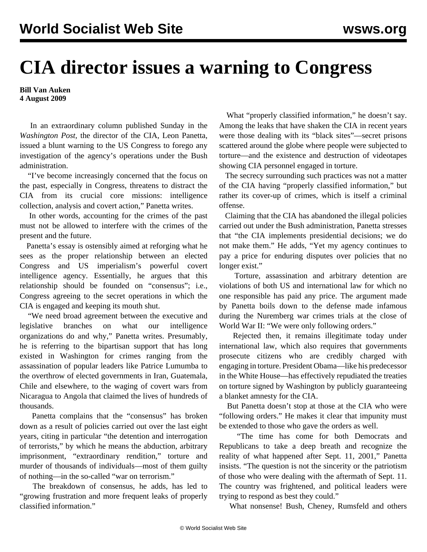## **CIA director issues a warning to Congress**

**Bill Van Auken 4 August 2009**

 In an extraordinary column published Sunday in the *Washington Post,* the director of the CIA, Leon Panetta, issued a blunt warning to the US Congress to forego any investigation of the agency's operations under the Bush administration.

 "I've become increasingly concerned that the focus on the past, especially in Congress, threatens to distract the CIA from its crucial core missions: intelligence collection, analysis and covert action," Panetta writes.

 In other words, accounting for the crimes of the past must not be allowed to interfere with the crimes of the present and the future.

 Panetta's essay is ostensibly aimed at reforging what he sees as the proper relationship between an elected Congress and US imperialism's powerful covert intelligence agency. Essentially, he argues that this relationship should be founded on "consensus"; i.e., Congress agreeing to the secret operations in which the CIA is engaged and keeping its mouth shut.

 "We need broad agreement between the executive and legislative branches on what our intelligence organizations do and why," Panetta writes. Presumably, he is referring to the bipartisan support that has long existed in Washington for crimes ranging from the assassination of popular leaders like Patrice Lumumba to the overthrow of elected governments in Iran, Guatemala, Chile and elsewhere, to the waging of covert wars from Nicaragua to Angola that claimed the lives of hundreds of thousands.

 Panetta complains that the "consensus" has broken down as a result of policies carried out over the last eight years, citing in particular "the detention and interrogation of terrorists," by which he means the abduction, arbitrary imprisonment, "extraordinary rendition," torture and murder of thousands of individuals—most of them guilty of nothing—in the so-called "war on terrorism."

 The breakdown of consensus, he adds, has led to "growing frustration and more frequent leaks of properly classified information."

 What "properly classified information," he doesn't say. Among the leaks that have shaken the CIA in recent years were those dealing with its "black sites"—secret prisons scattered around the globe where people were subjected to torture—and the existence and destruction of videotapes showing CIA personnel engaged in torture.

 The secrecy surrounding such practices was not a matter of the CIA having "properly classified information," but rather its cover-up of crimes, which is itself a criminal offense.

 Claiming that the CIA has abandoned the illegal policies carried out under the Bush administration, Panetta stresses that "the CIA implements presidential decisions; we do not make them." He adds, "Yet my agency continues to pay a price for enduring disputes over policies that no longer exist."

 Torture, assassination and arbitrary detention are violations of both US and international law for which no one responsible has paid any price. The argument made by Panetta boils down to the defense made infamous during the Nuremberg war crimes trials at the close of World War II: "We were only following orders."

 Rejected then, it remains illegitimate today under international law, which also requires that governments prosecute citizens who are credibly charged with engaging in torture. President Obama—like his predecessor in the White House—has effectively repudiated the treaties on torture signed by Washington by publicly guaranteeing a blanket amnesty for the CIA.

 But Panetta doesn't stop at those at the CIA who were "following orders." He makes it clear that impunity must be extended to those who gave the orders as well.

 "The time has come for both Democrats and Republicans to take a deep breath and recognize the reality of what happened after Sept. 11, 2001," Panetta insists. "The question is not the sincerity or the patriotism of those who were dealing with the aftermath of Sept. 11. The country was frightened, and political leaders were trying to respond as best they could."

What nonsense! Bush, Cheney, Rumsfeld and others